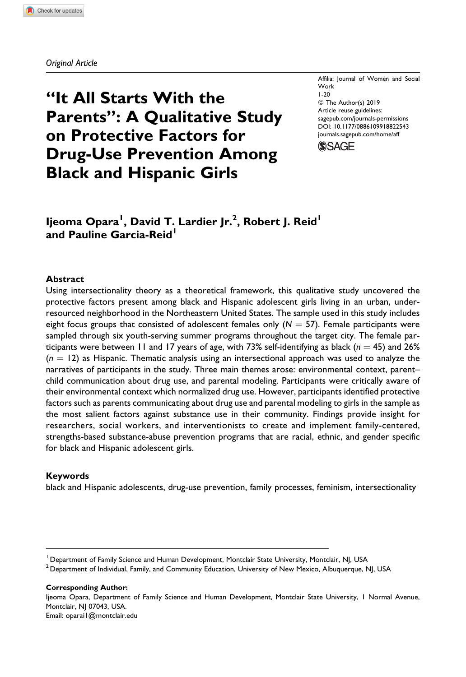Original Article

"It All Starts With the Parents": A Qualitative Study on Protective Factors for Drug-Use Prevention Among Black and Hispanic Girls

Affilia: Journal of Women and Social Work 1-20 © The Author(s) 2019 Article reuse guidelines: [sagepub.com/journals-permissions](https://sagepub.com/journals-permissions) [DOI: 10.1177/0886109918822543](https://doi.org/10.1177/0886109918822543) [journals.sagepub.com/home/aff](http://journals.sagepub.com/home/aff)



ljeoma Opara<sup>l</sup>, David T. Lardier Jr.<sup>2</sup>, Robert J. Reid<sup>l</sup> and Pauline Garcia-Reid<sup>1</sup>

#### Abstract

Using intersectionality theory as a theoretical framework, this qualitative study uncovered the protective factors present among black and Hispanic adolescent girls living in an urban, underresourced neighborhood in the Northeastern United States. The sample used in this study includes eight focus groups that consisted of adolescent females only  $(N = 57)$ . Female participants were sampled through six youth-serving summer programs throughout the target city. The female participants were between 11 and 17 years of age, with 73% self-identifying as black ( $n = 45$ ) and 26%  $(n = 12)$  as Hispanic. Thematic analysis using an intersectional approach was used to analyze the narratives of participants in the study. Three main themes arose: environmental context, parent– child communication about drug use, and parental modeling. Participants were critically aware of their environmental context which normalized drug use. However, participants identified protective factors such as parents communicating about drug use and parental modeling to girls in the sample as the most salient factors against substance use in their community. Findings provide insight for researchers, social workers, and interventionists to create and implement family-centered, strengths-based substance-abuse prevention programs that are racial, ethnic, and gender specific for black and Hispanic adolescent girls.

#### Keywords

black and Hispanic adolescents, drug-use prevention, family processes, feminism, intersectionality

Corresponding Author:

Ijeoma Opara, Department of Family Science and Human Development, Montclair State University, 1 Normal Avenue, Montclair, NJ 07043, USA. Email: [oparai1@montclair.edu](mailto:oparai1@montclair.edu)

<sup>&</sup>lt;sup>1</sup> Department of Family Science and Human Development, Montclair State University, Montclair, NJ, USA

<sup>&</sup>lt;sup>2</sup> Department of Individual, Family, and Community Education, University of New Mexico, Albuquerque, NJ, USA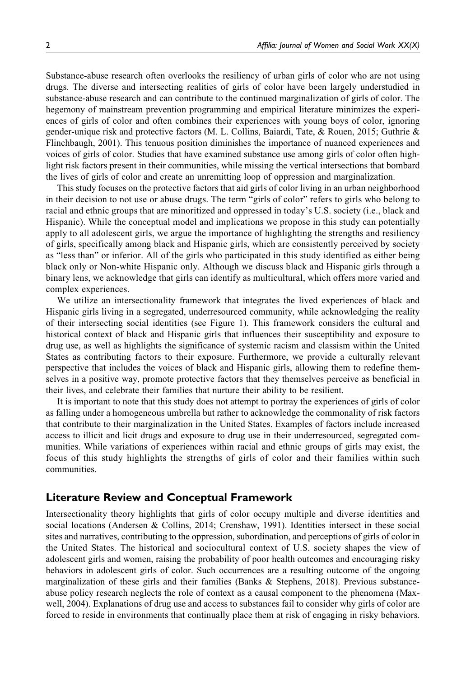Substance-abuse research often overlooks the resiliency of urban girls of color who are not using drugs. The diverse and intersecting realities of girls of color have been largely understudied in substance-abuse research and can contribute to the continued marginalization of girls of color. The hegemony of mainstream prevention programming and empirical literature minimizes the experiences of girls of color and often combines their experiences with young boys of color, ignoring gender-unique risk and protective factors (M. L. Collins, Baiardi, Tate, & Rouen, 2015; Guthrie & Flinchbaugh, 2001). This tenuous position diminishes the importance of nuanced experiences and voices of girls of color. Studies that have examined substance use among girls of color often highlight risk factors present in their communities, while missing the vertical intersections that bombard the lives of girls of color and create an unremitting loop of oppression and marginalization.

This study focuses on the protective factors that aid girls of color living in an urban neighborhood in their decision to not use or abuse drugs. The term "girls of color" refers to girls who belong to racial and ethnic groups that are minoritized and oppressed in today's U.S. society (i.e., black and Hispanic). While the conceptual model and implications we propose in this study can potentially apply to all adolescent girls, we argue the importance of highlighting the strengths and resiliency of girls, specifically among black and Hispanic girls, which are consistently perceived by society as "less than" or inferior. All of the girls who participated in this study identified as either being black only or Non-white Hispanic only. Although we discuss black and Hispanic girls through a binary lens, we acknowledge that girls can identify as multicultural, which offers more varied and complex experiences.

We utilize an intersectionality framework that integrates the lived experiences of black and Hispanic girls living in a segregated, underresourced community, while acknowledging the reality of their intersecting social identities (see Figure 1). This framework considers the cultural and historical context of black and Hispanic girls that influences their susceptibility and exposure to drug use, as well as highlights the significance of systemic racism and classism within the United States as contributing factors to their exposure. Furthermore, we provide a culturally relevant perspective that includes the voices of black and Hispanic girls, allowing them to redefine themselves in a positive way, promote protective factors that they themselves perceive as beneficial in their lives, and celebrate their families that nurture their ability to be resilient.

It is important to note that this study does not attempt to portray the experiences of girls of color as falling under a homogeneous umbrella but rather to acknowledge the commonality of risk factors that contribute to their marginalization in the United States. Examples of factors include increased access to illicit and licit drugs and exposure to drug use in their underresourced, segregated communities. While variations of experiences within racial and ethnic groups of girls may exist, the focus of this study highlights the strengths of girls of color and their families within such communities.

## Literature Review and Conceptual Framework

Intersectionality theory highlights that girls of color occupy multiple and diverse identities and social locations (Andersen & Collins, 2014; Crenshaw, 1991). Identities intersect in these social sites and narratives, contributing to the oppression, subordination, and perceptions of girls of color in the United States. The historical and sociocultural context of U.S. society shapes the view of adolescent girls and women, raising the probability of poor health outcomes and encouraging risky behaviors in adolescent girls of color. Such occurrences are a resulting outcome of the ongoing marginalization of these girls and their families (Banks & Stephens, 2018). Previous substanceabuse policy research neglects the role of context as a causal component to the phenomena (Maxwell, 2004). Explanations of drug use and access to substances fail to consider why girls of color are forced to reside in environments that continually place them at risk of engaging in risky behaviors.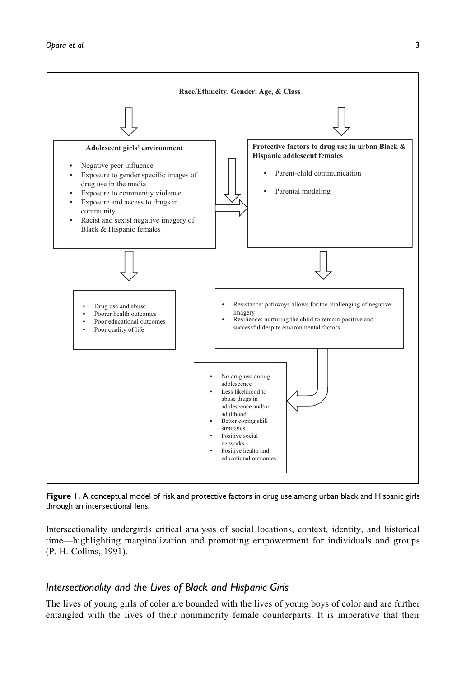

Figure 1. A conceptual model of risk and protective factors in drug use among urban black and Hispanic girls through an intersectional lens.

Intersectionality undergirds critical analysis of social locations, context, identity, and historical time—highlighting marginalization and promoting empowerment for individuals and groups (P. H. Collins, 1991).

## Intersectionality and the Lives of Black and Hispanic Girls

The lives of young girls of color are bounded with the lives of young boys of color and are further entangled with the lives of their nonminority female counterparts. It is imperative that their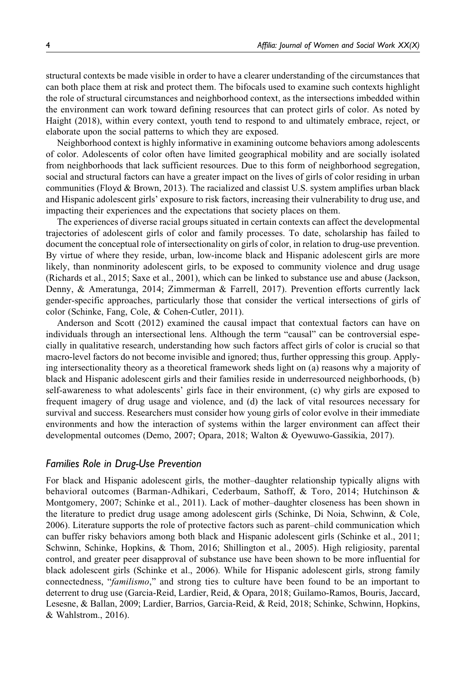structural contexts be made visible in order to have a clearer understanding of the circumstances that can both place them at risk and protect them. The bifocals used to examine such contexts highlight the role of structural circumstances and neighborhood context, as the intersections imbedded within the environment can work toward defining resources that can protect girls of color. As noted by Haight (2018), within every context, youth tend to respond to and ultimately embrace, reject, or elaborate upon the social patterns to which they are exposed.

Neighborhood context is highly informative in examining outcome behaviors among adolescents of color. Adolescents of color often have limited geographical mobility and are socially isolated from neighborhoods that lack sufficient resources. Due to this form of neighborhood segregation, social and structural factors can have a greater impact on the lives of girls of color residing in urban communities (Floyd & Brown, 2013). The racialized and classist U.S. system amplifies urban black and Hispanic adolescent girls' exposure to risk factors, increasing their vulnerability to drug use, and impacting their experiences and the expectations that society places on them.

The experiences of diverse racial groups situated in certain contexts can affect the developmental trajectories of adolescent girls of color and family processes. To date, scholarship has failed to document the conceptual role of intersectionality on girls of color, in relation to drug-use prevention. By virtue of where they reside, urban, low-income black and Hispanic adolescent girls are more likely, than nonminority adolescent girls, to be exposed to community violence and drug usage (Richards et al., 2015; Saxe et al., 2001), which can be linked to substance use and abuse (Jackson, Denny, & Ameratunga, 2014; Zimmerman & Farrell, 2017). Prevention efforts currently lack gender-specific approaches, particularly those that consider the vertical intersections of girls of color (Schinke, Fang, Cole, & Cohen-Cutler, 2011).

Anderson and Scott (2012) examined the causal impact that contextual factors can have on individuals through an intersectional lens. Although the term "causal" can be controversial especially in qualitative research, understanding how such factors affect girls of color is crucial so that macro-level factors do not become invisible and ignored; thus, further oppressing this group. Applying intersectionality theory as a theoretical framework sheds light on (a) reasons why a majority of black and Hispanic adolescent girls and their families reside in underresourced neighborhoods, (b) self-awareness to what adolescents' girls face in their environment, (c) why girls are exposed to frequent imagery of drug usage and violence, and (d) the lack of vital resources necessary for survival and success. Researchers must consider how young girls of color evolve in their immediate environments and how the interaction of systems within the larger environment can affect their developmental outcomes (Demo, 2007; Opara, 2018; Walton & Oyewuwo-Gassikia, 2017).

#### Families Role in Drug-Use Prevention

For black and Hispanic adolescent girls, the mother–daughter relationship typically aligns with behavioral outcomes (Barman-Adhikari, Cederbaum, Sathoff, & Toro, 2014; Hutchinson & Montgomery, 2007; Schinke et al., 2011). Lack of mother–daughter closeness has been shown in the literature to predict drug usage among adolescent girls (Schinke, Di Noia, Schwinn, & Cole, 2006). Literature supports the role of protective factors such as parent–child communication which can buffer risky behaviors among both black and Hispanic adolescent girls (Schinke et al., 2011; Schwinn, Schinke, Hopkins, & Thom, 2016; Shillington et al., 2005). High religiosity, parental control, and greater peer disapproval of substance use have been shown to be more influential for black adolescent girls (Schinke et al., 2006). While for Hispanic adolescent girls, strong family connectedness, "familismo," and strong ties to culture have been found to be an important to deterrent to drug use (Garcia-Reid, Lardier, Reid, & Opara, 2018; Guilamo-Ramos, Bouris, Jaccard, Lesesne, & Ballan, 2009; Lardier, Barrios, Garcia-Reid, & Reid, 2018; Schinke, Schwinn, Hopkins, & Wahlstrom., 2016).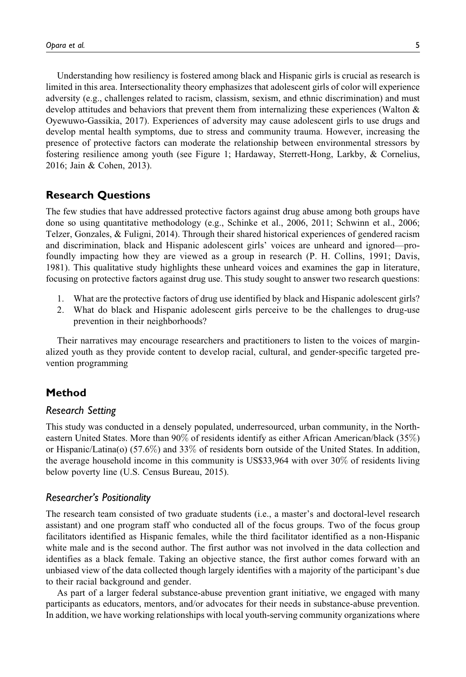Understanding how resiliency is fostered among black and Hispanic girls is crucial as research is limited in this area. Intersectionality theory emphasizes that adolescent girls of color will experience adversity (e.g., challenges related to racism, classism, sexism, and ethnic discrimination) and must develop attitudes and behaviors that prevent them from internalizing these experiences (Walton & Oyewuwo-Gassikia, 2017). Experiences of adversity may cause adolescent girls to use drugs and develop mental health symptoms, due to stress and community trauma. However, increasing the presence of protective factors can moderate the relationship between environmental stressors by fostering resilience among youth (see Figure 1; Hardaway, Sterrett-Hong, Larkby, & Cornelius, 2016; Jain & Cohen, 2013).

# Research Questions

The few studies that have addressed protective factors against drug abuse among both groups have done so using quantitative methodology (e.g., Schinke et al., 2006, 2011; Schwinn et al., 2006; Telzer, Gonzales, & Fuligni, 2014). Through their shared historical experiences of gendered racism and discrimination, black and Hispanic adolescent girls' voices are unheard and ignored—profoundly impacting how they are viewed as a group in research (P. H. Collins, 1991; Davis, 1981). This qualitative study highlights these unheard voices and examines the gap in literature, focusing on protective factors against drug use. This study sought to answer two research questions:

- 1. What are the protective factors of drug use identified by black and Hispanic adolescent girls?
- 2. What do black and Hispanic adolescent girls perceive to be the challenges to drug-use prevention in their neighborhoods?

Their narratives may encourage researchers and practitioners to listen to the voices of marginalized youth as they provide content to develop racial, cultural, and gender-specific targeted prevention programming

# Method

#### Research Setting

This study was conducted in a densely populated, underresourced, urban community, in the Northeastern United States. More than 90% of residents identify as either African American/black (35%) or Hispanic/Latina(o) (57.6%) and 33% of residents born outside of the United States. In addition, the average household income in this community is US\$33,964 with over 30% of residents living below poverty line (U.S. Census Bureau, 2015).

## Researcher's Positionality

The research team consisted of two graduate students (i.e., a master's and doctoral-level research assistant) and one program staff who conducted all of the focus groups. Two of the focus group facilitators identified as Hispanic females, while the third facilitator identified as a non-Hispanic white male and is the second author. The first author was not involved in the data collection and identifies as a black female. Taking an objective stance, the first author comes forward with an unbiased view of the data collected though largely identifies with a majority of the participant's due to their racial background and gender.

As part of a larger federal substance-abuse prevention grant initiative, we engaged with many participants as educators, mentors, and/or advocates for their needs in substance-abuse prevention. In addition, we have working relationships with local youth-serving community organizations where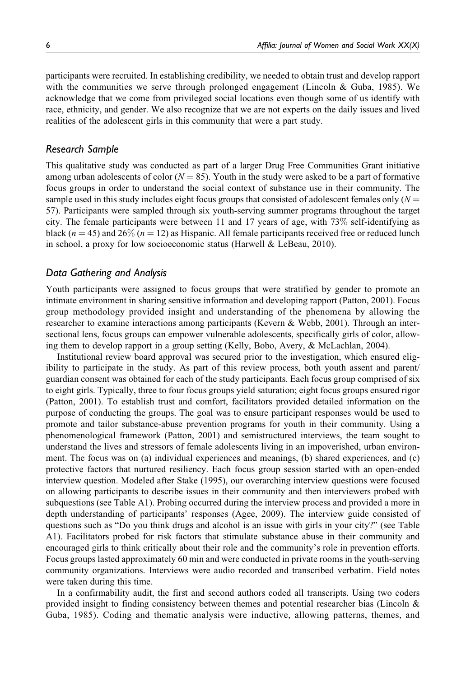participants were recruited. In establishing credibility, we needed to obtain trust and develop rapport with the communities we serve through prolonged engagement (Lincoln & Guba, 1985). We acknowledge that we come from privileged social locations even though some of us identify with race, ethnicity, and gender. We also recognize that we are not experts on the daily issues and lived realities of the adolescent girls in this community that were a part study.

# Research Sample

This qualitative study was conducted as part of a larger Drug Free Communities Grant initiative among urban adolescents of color ( $N = 85$ ). Youth in the study were asked to be a part of formative focus groups in order to understand the social context of substance use in their community. The sample used in this study includes eight focus groups that consisted of adolescent females only  $(N =$ 57). Participants were sampled through six youth-serving summer programs throughout the target city. The female participants were between 11 and 17 years of age, with 73% self-identifying as black ( $n = 45$ ) and 26% ( $n = 12$ ) as Hispanic. All female participants received free or reduced lunch in school, a proxy for low socioeconomic status (Harwell & LeBeau, 2010).

# Data Gathering and Analysis

Youth participants were assigned to focus groups that were stratified by gender to promote an intimate environment in sharing sensitive information and developing rapport (Patton, 2001). Focus group methodology provided insight and understanding of the phenomena by allowing the researcher to examine interactions among participants (Kevern & Webb, 2001). Through an intersectional lens, focus groups can empower vulnerable adolescents, specifically girls of color, allowing them to develop rapport in a group setting (Kelly, Bobo, Avery, & McLachlan, 2004).

Institutional review board approval was secured prior to the investigation, which ensured eligibility to participate in the study. As part of this review process, both youth assent and parent/ guardian consent was obtained for each of the study participants. Each focus group comprised of six to eight girls. Typically, three to four focus groups yield saturation; eight focus groups ensured rigor (Patton, 2001). To establish trust and comfort, facilitators provided detailed information on the purpose of conducting the groups. The goal was to ensure participant responses would be used to promote and tailor substance-abuse prevention programs for youth in their community. Using a phenomenological framework (Patton, 2001) and semistructured interviews, the team sought to understand the lives and stressors of female adolescents living in an impoverished, urban environment. The focus was on (a) individual experiences and meanings, (b) shared experiences, and (c) protective factors that nurtured resiliency. Each focus group session started with an open-ended interview question. Modeled after Stake (1995), our overarching interview questions were focused on allowing participants to describe issues in their community and then interviewers probed with subquestions (see Table A1). Probing occurred during the interview process and provided a more in depth understanding of participants' responses (Agee, 2009). The interview guide consisted of questions such as "Do you think drugs and alcohol is an issue with girls in your city?" (see Table A1). Facilitators probed for risk factors that stimulate substance abuse in their community and encouraged girls to think critically about their role and the community's role in prevention efforts. Focus groups lasted approximately 60 min and were conducted in private rooms in the youth-serving community organizations. Interviews were audio recorded and transcribed verbatim. Field notes were taken during this time.

In a confirmability audit, the first and second authors coded all transcripts. Using two coders provided insight to finding consistency between themes and potential researcher bias (Lincoln & Guba, 1985). Coding and thematic analysis were inductive, allowing patterns, themes, and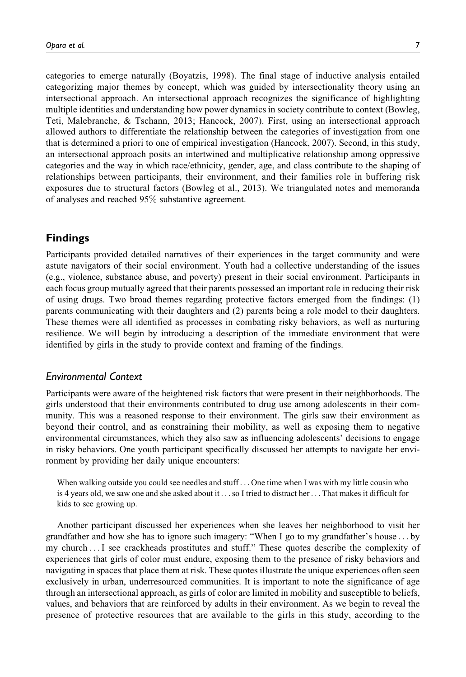categories to emerge naturally (Boyatzis, 1998). The final stage of inductive analysis entailed categorizing major themes by concept, which was guided by intersectionality theory using an intersectional approach. An intersectional approach recognizes the significance of highlighting multiple identities and understanding how power dynamics in society contribute to context (Bowleg, Teti, Malebranche, & Tschann, 2013; Hancock, 2007). First, using an intersectional approach allowed authors to differentiate the relationship between the categories of investigation from one that is determined a priori to one of empirical investigation (Hancock, 2007). Second, in this study, an intersectional approach posits an intertwined and multiplicative relationship among oppressive categories and the way in which race/ethnicity, gender, age, and class contribute to the shaping of relationships between participants, their environment, and their families role in buffering risk exposures due to structural factors (Bowleg et al., 2013). We triangulated notes and memoranda of analyses and reached 95% substantive agreement.

# Findings

Participants provided detailed narratives of their experiences in the target community and were astute navigators of their social environment. Youth had a collective understanding of the issues (e.g., violence, substance abuse, and poverty) present in their social environment. Participants in each focus group mutually agreed that their parents possessed an important role in reducing their risk of using drugs. Two broad themes regarding protective factors emerged from the findings: (1) parents communicating with their daughters and (2) parents being a role model to their daughters. These themes were all identified as processes in combating risky behaviors, as well as nurturing resilience. We will begin by introducing a description of the immediate environment that were identified by girls in the study to provide context and framing of the findings.

#### Environmental Context

Participants were aware of the heightened risk factors that were present in their neighborhoods. The girls understood that their environments contributed to drug use among adolescents in their community. This was a reasoned response to their environment. The girls saw their environment as beyond their control, and as constraining their mobility, as well as exposing them to negative environmental circumstances, which they also saw as influencing adolescents' decisions to engage in risky behaviors. One youth participant specifically discussed her attempts to navigate her environment by providing her daily unique encounters:

When walking outside you could see needles and stuff... One time when I was with my little cousin who is 4 years old, we saw one and she asked about it ...so I tried to distract her ... That makes it difficult for kids to see growing up.

Another participant discussed her experiences when she leaves her neighborhood to visit her grandfather and how she has to ignore such imagery: "When I go to my grandfather's house ... by my church ... I see crackheads prostitutes and stuff." These quotes describe the complexity of experiences that girls of color must endure, exposing them to the presence of risky behaviors and navigating in spaces that place them at risk. These quotes illustrate the unique experiences often seen exclusively in urban, underresourced communities. It is important to note the significance of age through an intersectional approach, as girls of color are limited in mobility and susceptible to beliefs, values, and behaviors that are reinforced by adults in their environment. As we begin to reveal the presence of protective resources that are available to the girls in this study, according to the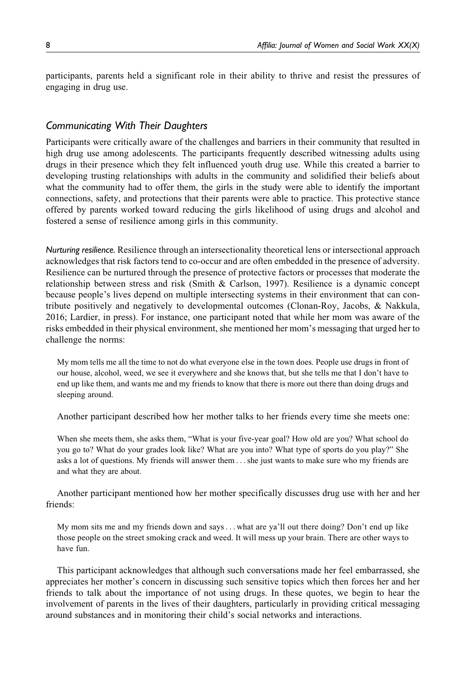participants, parents held a significant role in their ability to thrive and resist the pressures of engaging in drug use.

#### Communicating With Their Daughters

Participants were critically aware of the challenges and barriers in their community that resulted in high drug use among adolescents. The participants frequently described witnessing adults using drugs in their presence which they felt influenced youth drug use. While this created a barrier to developing trusting relationships with adults in the community and solidified their beliefs about what the community had to offer them, the girls in the study were able to identify the important connections, safety, and protections that their parents were able to practice. This protective stance offered by parents worked toward reducing the girls likelihood of using drugs and alcohol and fostered a sense of resilience among girls in this community.

Nurturing resilience. Resilience through an intersectionality theoretical lens or intersectional approach acknowledges that risk factors tend to co-occur and are often embedded in the presence of adversity. Resilience can be nurtured through the presence of protective factors or processes that moderate the relationship between stress and risk (Smith & Carlson, 1997). Resilience is a dynamic concept because people's lives depend on multiple intersecting systems in their environment that can contribute positively and negatively to developmental outcomes (Clonan-Roy, Jacobs, & Nakkula, 2016; Lardier, in press). For instance, one participant noted that while her mom was aware of the risks embedded in their physical environment, she mentioned her mom's messaging that urged her to challenge the norms:

My mom tells me all the time to not do what everyone else in the town does. People use drugs in front of our house, alcohol, weed, we see it everywhere and she knows that, but she tells me that I don't have to end up like them, and wants me and my friends to know that there is more out there than doing drugs and sleeping around.

Another participant described how her mother talks to her friends every time she meets one:

When she meets them, she asks them, "What is your five-year goal? How old are you? What school do you go to? What do your grades look like? What are you into? What type of sports do you play?" She asks a lot of questions. My friends will answer them ...she just wants to make sure who my friends are and what they are about.

Another participant mentioned how her mother specifically discusses drug use with her and her friends:

My mom sits me and my friends down and says... what are ya'll out there doing? Don't end up like those people on the street smoking crack and weed. It will mess up your brain. There are other ways to have fun.

This participant acknowledges that although such conversations made her feel embarrassed, she appreciates her mother's concern in discussing such sensitive topics which then forces her and her friends to talk about the importance of not using drugs. In these quotes, we begin to hear the involvement of parents in the lives of their daughters, particularly in providing critical messaging around substances and in monitoring their child's social networks and interactions.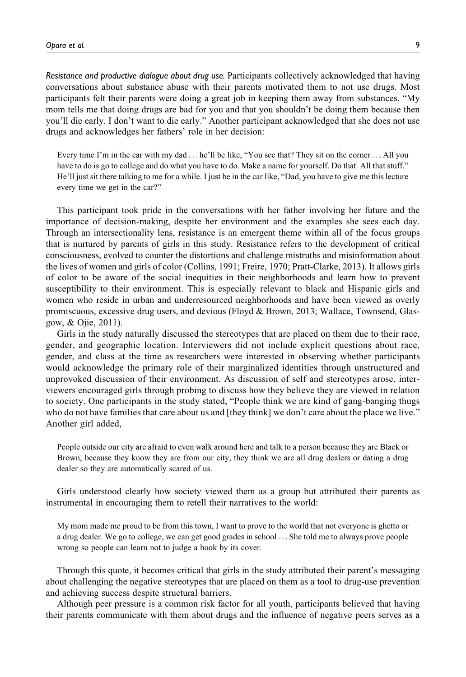Resistance and productive dialogue about drug use. Participants collectively acknowledged that having conversations about substance abuse with their parents motivated them to not use drugs. Most participants felt their parents were doing a great job in keeping them away from substances. "My mom tells me that doing drugs are bad for you and that you shouldn't be doing them because then you'll die early. I don't want to die early." Another participant acknowledged that she does not use drugs and acknowledges her fathers' role in her decision:

Every time I'm in the car with my dad ... he'll be like, "You see that? They sit on the corner... All you have to do is go to college and do what you have to do. Make a name for yourself. Do that. All that stuff." He'll just sit there talking to me for a while. I just be in the car like, "Dad, you have to give me this lecture every time we get in the car?"

This participant took pride in the conversations with her father involving her future and the importance of decision-making, despite her environment and the examples she sees each day. Through an intersectionality lens, resistance is an emergent theme within all of the focus groups that is nurtured by parents of girls in this study. Resistance refers to the development of critical consciousness, evolved to counter the distortions and challenge mistruths and misinformation about the lives of women and girls of color (Collins, 1991; Freire, 1970; Pratt-Clarke, 2013). It allows girls of color to be aware of the social inequities in their neighborhoods and learn how to prevent susceptibility to their environment. This is especially relevant to black and Hispanic girls and women who reside in urban and underresourced neighborhoods and have been viewed as overly promiscuous, excessive drug users, and devious (Floyd & Brown, 2013; Wallace, Townsend, Glasgow, & Ojie, 2011).

Girls in the study naturally discussed the stereotypes that are placed on them due to their race, gender, and geographic location. Interviewers did not include explicit questions about race, gender, and class at the time as researchers were interested in observing whether participants would acknowledge the primary role of their marginalized identities through unstructured and unprovoked discussion of their environment. As discussion of self and stereotypes arose, interviewers encouraged girls through probing to discuss how they believe they are viewed in relation to society. One participants in the study stated, "People think we are kind of gang-banging thugs who do not have families that care about us and [they think] we don't care about the place we live." Another girl added,

People outside our city are afraid to even walk around here and talk to a person because they are Black or Brown, because they know they are from our city, they think we are all drug dealers or dating a drug dealer so they are automatically scared of us.

Girls understood clearly how society viewed them as a group but attributed their parents as instrumental in encouraging them to retell their narratives to the world:

My mom made me proud to be from this town, I want to prove to the world that not everyone is ghetto or a drug dealer. We go to college, we can get good grades in school ... She told me to always prove people wrong so people can learn not to judge a book by its cover.

Through this quote, it becomes critical that girls in the study attributed their parent's messaging about challenging the negative stereotypes that are placed on them as a tool to drug-use prevention and achieving success despite structural barriers.

Although peer pressure is a common risk factor for all youth, participants believed that having their parents communicate with them about drugs and the influence of negative peers serves as a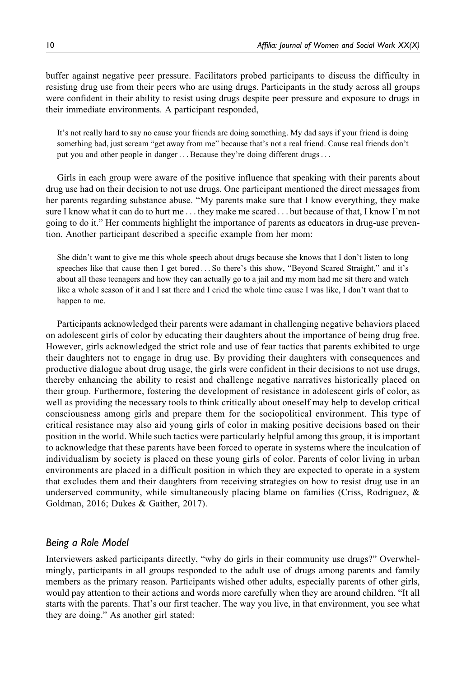buffer against negative peer pressure. Facilitators probed participants to discuss the difficulty in resisting drug use from their peers who are using drugs. Participants in the study across all groups were confident in their ability to resist using drugs despite peer pressure and exposure to drugs in their immediate environments. A participant responded,

It's not really hard to say no cause your friends are doing something. My dad says if your friend is doing something bad, just scream "get away from me" because that's not a real friend. Cause real friends don't put you and other people in danger ... Because they're doing different drugs...

Girls in each group were aware of the positive influence that speaking with their parents about drug use had on their decision to not use drugs. One participant mentioned the direct messages from her parents regarding substance abuse. "My parents make sure that I know everything, they make sure I know what it can do to hurt me ... they make me scared ... but because of that, I know I'm not going to do it." Her comments highlight the importance of parents as educators in drug-use prevention. Another participant described a specific example from her mom:

She didn't want to give me this whole speech about drugs because she knows that I don't listen to long speeches like that cause then I get bored ... So there's this show, "Beyond Scared Straight," and it's about all these teenagers and how they can actually go to a jail and my mom had me sit there and watch like a whole season of it and I sat there and I cried the whole time cause I was like, I don't want that to happen to me.

Participants acknowledged their parents were adamant in challenging negative behaviors placed on adolescent girls of color by educating their daughters about the importance of being drug free. However, girls acknowledged the strict role and use of fear tactics that parents exhibited to urge their daughters not to engage in drug use. By providing their daughters with consequences and productive dialogue about drug usage, the girls were confident in their decisions to not use drugs, thereby enhancing the ability to resist and challenge negative narratives historically placed on their group. Furthermore, fostering the development of resistance in adolescent girls of color, as well as providing the necessary tools to think critically about oneself may help to develop critical consciousness among girls and prepare them for the sociopolitical environment. This type of critical resistance may also aid young girls of color in making positive decisions based on their position in the world. While such tactics were particularly helpful among this group, it is important to acknowledge that these parents have been forced to operate in systems where the inculcation of individualism by society is placed on these young girls of color. Parents of color living in urban environments are placed in a difficult position in which they are expected to operate in a system that excludes them and their daughters from receiving strategies on how to resist drug use in an underserved community, while simultaneously placing blame on families (Criss, Rodriguez, & Goldman, 2016; Dukes & Gaither, 2017).

## Being a Role Model

Interviewers asked participants directly, "why do girls in their community use drugs?" Overwhelmingly, participants in all groups responded to the adult use of drugs among parents and family members as the primary reason. Participants wished other adults, especially parents of other girls, would pay attention to their actions and words more carefully when they are around children. "It all starts with the parents. That's our first teacher. The way you live, in that environment, you see what they are doing." As another girl stated: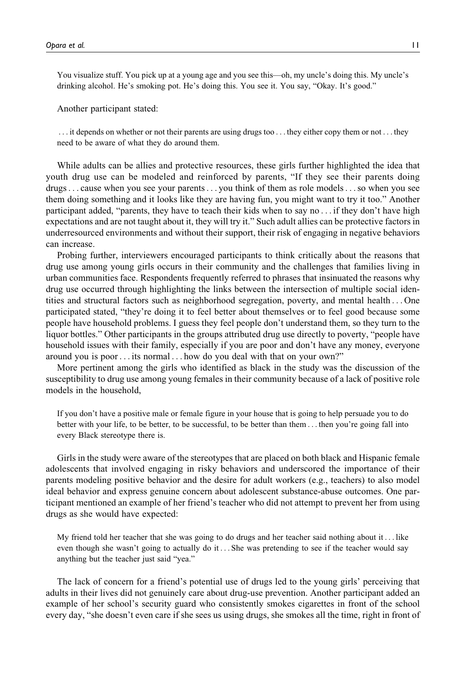You visualize stuff. You pick up at a young age and you see this—oh, my uncle's doing this. My uncle's drinking alcohol. He's smoking pot. He's doing this. You see it. You say, "Okay. It's good."

Another participant stated:

... it depends on whether or not their parents are using drugs too ... they either copy them or not ... they need to be aware of what they do around them.

While adults can be allies and protective resources, these girls further highlighted the idea that youth drug use can be modeled and reinforced by parents, "If they see their parents doing drugs... cause when you see your parents... you think of them as role models... so when you see them doing something and it looks like they are having fun, you might want to try it too." Another participant added, "parents, they have to teach their kids when to say no ... if they don't have high expectations and are not taught about it, they will try it." Such adult allies can be protective factors in underresourced environments and without their support, their risk of engaging in negative behaviors can increase.

Probing further, interviewers encouraged participants to think critically about the reasons that drug use among young girls occurs in their community and the challenges that families living in urban communities face. Respondents frequently referred to phrases that insinuated the reasons why drug use occurred through highlighting the links between the intersection of multiple social identities and structural factors such as neighborhood segregation, poverty, and mental health ... One participated stated, "they're doing it to feel better about themselves or to feel good because some people have household problems. I guess they feel people don't understand them, so they turn to the liquor bottles." Other participants in the groups attributed drug use directly to poverty, "people have household issues with their family, especially if you are poor and don't have any money, everyone around you is poor ... its normal ... how do you deal with that on your own?"

More pertinent among the girls who identified as black in the study was the discussion of the susceptibility to drug use among young females in their community because of a lack of positive role models in the household,

If you don't have a positive male or female figure in your house that is going to help persuade you to do better with your life, to be better, to be successful, to be better than them ... then you're going fall into every Black stereotype there is.

Girls in the study were aware of the stereotypes that are placed on both black and Hispanic female adolescents that involved engaging in risky behaviors and underscored the importance of their parents modeling positive behavior and the desire for adult workers (e.g., teachers) to also model ideal behavior and express genuine concern about adolescent substance-abuse outcomes. One participant mentioned an example of her friend's teacher who did not attempt to prevent her from using drugs as she would have expected:

My friend told her teacher that she was going to do drugs and her teacher said nothing about it ... like even though she wasn't going to actually do it ... She was pretending to see if the teacher would say anything but the teacher just said "yea."

The lack of concern for a friend's potential use of drugs led to the young girls' perceiving that adults in their lives did not genuinely care about drug-use prevention. Another participant added an example of her school's security guard who consistently smokes cigarettes in front of the school every day, "she doesn't even care if she sees us using drugs, she smokes all the time, right in front of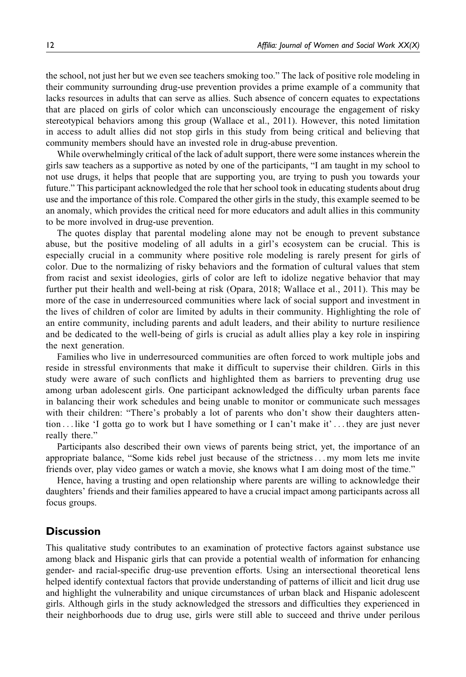the school, not just her but we even see teachers smoking too." The lack of positive role modeling in their community surrounding drug-use prevention provides a prime example of a community that lacks resources in adults that can serve as allies. Such absence of concern equates to expectations that are placed on girls of color which can unconsciously encourage the engagement of risky stereotypical behaviors among this group (Wallace et al., 2011). However, this noted limitation in access to adult allies did not stop girls in this study from being critical and believing that community members should have an invested role in drug-abuse prevention.

While overwhelmingly critical of the lack of adult support, there were some instances wherein the girls saw teachers as a supportive as noted by one of the participants, "I am taught in my school to not use drugs, it helps that people that are supporting you, are trying to push you towards your future." This participant acknowledged the role that her school took in educating students about drug use and the importance of this role. Compared the other girls in the study, this example seemed to be an anomaly, which provides the critical need for more educators and adult allies in this community to be more involved in drug-use prevention.

The quotes display that parental modeling alone may not be enough to prevent substance abuse, but the positive modeling of all adults in a girl's ecosystem can be crucial. This is especially crucial in a community where positive role modeling is rarely present for girls of color. Due to the normalizing of risky behaviors and the formation of cultural values that stem from racist and sexist ideologies, girls of color are left to idolize negative behavior that may further put their health and well-being at risk (Opara, 2018; Wallace et al., 2011). This may be more of the case in underresourced communities where lack of social support and investment in the lives of children of color are limited by adults in their community. Highlighting the role of an entire community, including parents and adult leaders, and their ability to nurture resilience and be dedicated to the well-being of girls is crucial as adult allies play a key role in inspiring the next generation.

Families who live in underresourced communities are often forced to work multiple jobs and reside in stressful environments that make it difficult to supervise their children. Girls in this study were aware of such conflicts and highlighted them as barriers to preventing drug use among urban adolescent girls. One participant acknowledged the difficulty urban parents face in balancing their work schedules and being unable to monitor or communicate such messages with their children: "There's probably a lot of parents who don't show their daughters attention ... like 'I gotta go to work but I have something or I can't make it' ... they are just never really there."

Participants also described their own views of parents being strict, yet, the importance of an appropriate balance, "Some kids rebel just because of the strictness... my mom lets me invite friends over, play video games or watch a movie, she knows what I am doing most of the time."

Hence, having a trusting and open relationship where parents are willing to acknowledge their daughters' friends and their families appeared to have a crucial impact among participants across all focus groups.

## **Discussion**

This qualitative study contributes to an examination of protective factors against substance use among black and Hispanic girls that can provide a potential wealth of information for enhancing gender- and racial-specific drug-use prevention efforts. Using an intersectional theoretical lens helped identify contextual factors that provide understanding of patterns of illicit and licit drug use and highlight the vulnerability and unique circumstances of urban black and Hispanic adolescent girls. Although girls in the study acknowledged the stressors and difficulties they experienced in their neighborhoods due to drug use, girls were still able to succeed and thrive under perilous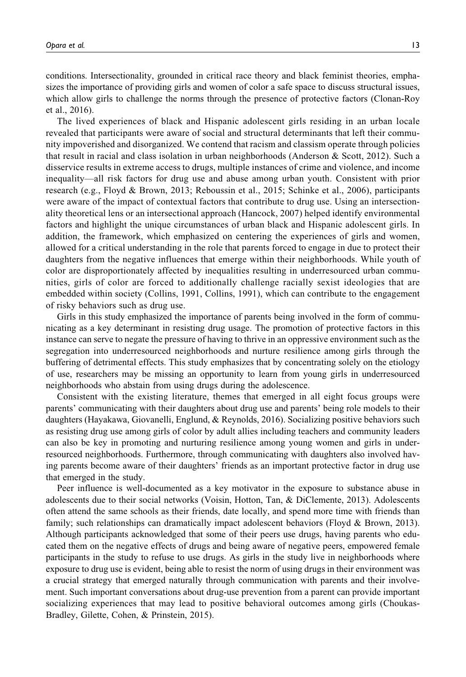conditions. Intersectionality, grounded in critical race theory and black feminist theories, emphasizes the importance of providing girls and women of color a safe space to discuss structural issues, which allow girls to challenge the norms through the presence of protective factors (Clonan-Roy et al., 2016).

The lived experiences of black and Hispanic adolescent girls residing in an urban locale revealed that participants were aware of social and structural determinants that left their community impoverished and disorganized. We contend that racism and classism operate through policies that result in racial and class isolation in urban neighborhoods (Anderson & Scott, 2012). Such a disservice results in extreme access to drugs, multiple instances of crime and violence, and income inequality—all risk factors for drug use and abuse among urban youth. Consistent with prior research (e.g., Floyd & Brown, 2013; Reboussin et al., 2015; Schinke et al., 2006), participants were aware of the impact of contextual factors that contribute to drug use. Using an intersectionality theoretical lens or an intersectional approach (Hancock, 2007) helped identify environmental factors and highlight the unique circumstances of urban black and Hispanic adolescent girls. In addition, the framework, which emphasized on centering the experiences of girls and women, allowed for a critical understanding in the role that parents forced to engage in due to protect their daughters from the negative influences that emerge within their neighborhoods. While youth of color are disproportionately affected by inequalities resulting in underresourced urban communities, girls of color are forced to additionally challenge racially sexist ideologies that are embedded within society (Collins, 1991, Collins, 1991), which can contribute to the engagement of risky behaviors such as drug use.

Girls in this study emphasized the importance of parents being involved in the form of communicating as a key determinant in resisting drug usage. The promotion of protective factors in this instance can serve to negate the pressure of having to thrive in an oppressive environment such as the segregation into underresourced neighborhoods and nurture resilience among girls through the buffering of detrimental effects. This study emphasizes that by concentrating solely on the etiology of use, researchers may be missing an opportunity to learn from young girls in underresourced neighborhoods who abstain from using drugs during the adolescence.

Consistent with the existing literature, themes that emerged in all eight focus groups were parents' communicating with their daughters about drug use and parents' being role models to their daughters (Hayakawa, Giovanelli, Englund, & Reynolds, 2016). Socializing positive behaviors such as resisting drug use among girls of color by adult allies including teachers and community leaders can also be key in promoting and nurturing resilience among young women and girls in underresourced neighborhoods. Furthermore, through communicating with daughters also involved having parents become aware of their daughters' friends as an important protective factor in drug use that emerged in the study.

Peer influence is well-documented as a key motivator in the exposure to substance abuse in adolescents due to their social networks (Voisin, Hotton, Tan, & DiClemente, 2013). Adolescents often attend the same schools as their friends, date locally, and spend more time with friends than family; such relationships can dramatically impact adolescent behaviors (Floyd & Brown, 2013). Although participants acknowledged that some of their peers use drugs, having parents who educated them on the negative effects of drugs and being aware of negative peers, empowered female participants in the study to refuse to use drugs. As girls in the study live in neighborhoods where exposure to drug use is evident, being able to resist the norm of using drugs in their environment was a crucial strategy that emerged naturally through communication with parents and their involvement. Such important conversations about drug-use prevention from a parent can provide important socializing experiences that may lead to positive behavioral outcomes among girls (Choukas-Bradley, Gilette, Cohen, & Prinstein, 2015).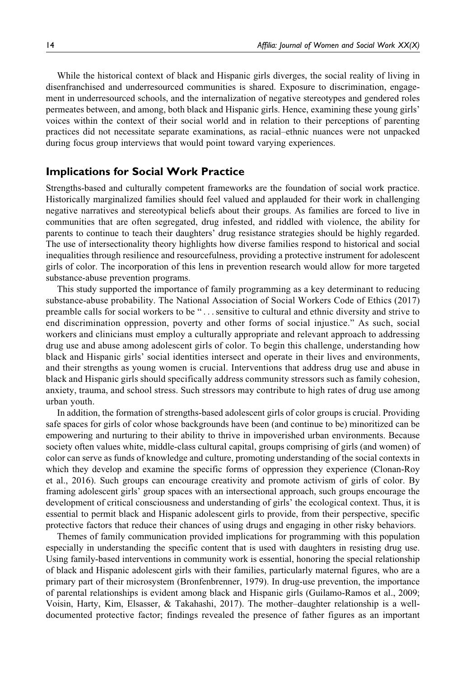While the historical context of black and Hispanic girls diverges, the social reality of living in disenfranchised and underresourced communities is shared. Exposure to discrimination, engagement in underresourced schools, and the internalization of negative stereotypes and gendered roles permeates between, and among, both black and Hispanic girls. Hence, examining these young girls' voices within the context of their social world and in relation to their perceptions of parenting practices did not necessitate separate examinations, as racial–ethnic nuances were not unpacked during focus group interviews that would point toward varying experiences.

# Implications for Social Work Practice

Strengths-based and culturally competent frameworks are the foundation of social work practice. Historically marginalized families should feel valued and applauded for their work in challenging negative narratives and stereotypical beliefs about their groups. As families are forced to live in communities that are often segregated, drug infested, and riddled with violence, the ability for parents to continue to teach their daughters' drug resistance strategies should be highly regarded. The use of intersectionality theory highlights how diverse families respond to historical and social inequalities through resilience and resourcefulness, providing a protective instrument for adolescent girls of color. The incorporation of this lens in prevention research would allow for more targeted substance-abuse prevention programs.

This study supported the importance of family programming as a key determinant to reducing substance-abuse probability. The National Association of Social Workers Code of Ethics (2017) preamble calls for social workers to be " ...sensitive to cultural and ethnic diversity and strive to end discrimination oppression, poverty and other forms of social injustice." As such, social workers and clinicians must employ a culturally appropriate and relevant approach to addressing drug use and abuse among adolescent girls of color. To begin this challenge, understanding how black and Hispanic girls' social identities intersect and operate in their lives and environments, and their strengths as young women is crucial. Interventions that address drug use and abuse in black and Hispanic girls should specifically address community stressors such as family cohesion, anxiety, trauma, and school stress. Such stressors may contribute to high rates of drug use among urban youth.

In addition, the formation of strengths-based adolescent girls of color groups is crucial. Providing safe spaces for girls of color whose backgrounds have been (and continue to be) minoritized can be empowering and nurturing to their ability to thrive in impoverished urban environments. Because society often values white, middle-class cultural capital, groups comprising of girls (and women) of color can serve as funds of knowledge and culture, promoting understanding of the social contexts in which they develop and examine the specific forms of oppression they experience (Clonan-Roy et al., 2016). Such groups can encourage creativity and promote activism of girls of color. By framing adolescent girls' group spaces with an intersectional approach, such groups encourage the development of critical consciousness and understanding of girls' the ecological context. Thus, it is essential to permit black and Hispanic adolescent girls to provide, from their perspective, specific protective factors that reduce their chances of using drugs and engaging in other risky behaviors.

Themes of family communication provided implications for programming with this population especially in understanding the specific content that is used with daughters in resisting drug use. Using family-based interventions in community work is essential, honoring the special relationship of black and Hispanic adolescent girls with their families, particularly maternal figures, who are a primary part of their microsystem (Bronfenbrenner, 1979). In drug-use prevention, the importance of parental relationships is evident among black and Hispanic girls (Guilamo-Ramos et al., 2009; Voisin, Harty, Kim, Elsasser, & Takahashi, 2017). The mother–daughter relationship is a welldocumented protective factor; findings revealed the presence of father figures as an important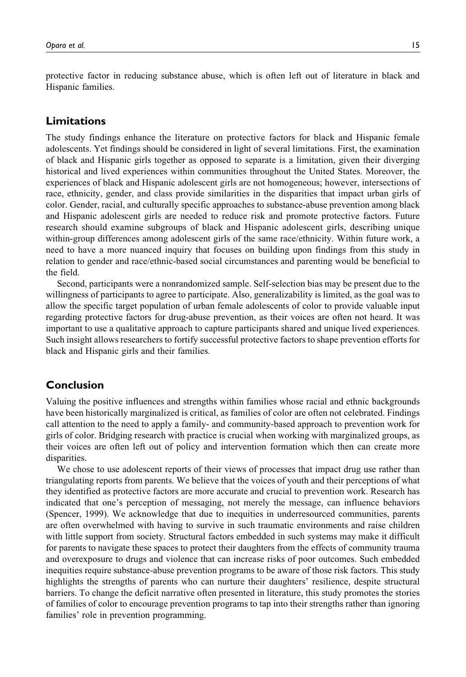protective factor in reducing substance abuse, which is often left out of literature in black and Hispanic families.

# Limitations

The study findings enhance the literature on protective factors for black and Hispanic female adolescents. Yet findings should be considered in light of several limitations. First, the examination of black and Hispanic girls together as opposed to separate is a limitation, given their diverging historical and lived experiences within communities throughout the United States. Moreover, the experiences of black and Hispanic adolescent girls are not homogeneous; however, intersections of race, ethnicity, gender, and class provide similarities in the disparities that impact urban girls of color. Gender, racial, and culturally specific approaches to substance-abuse prevention among black and Hispanic adolescent girls are needed to reduce risk and promote protective factors. Future research should examine subgroups of black and Hispanic adolescent girls, describing unique within-group differences among adolescent girls of the same race/ethnicity. Within future work, a need to have a more nuanced inquiry that focuses on building upon findings from this study in relation to gender and race/ethnic-based social circumstances and parenting would be beneficial to the field.

Second, participants were a nonrandomized sample. Self-selection bias may be present due to the willingness of participants to agree to participate. Also, generalizability is limited, as the goal was to allow the specific target population of urban female adolescents of color to provide valuable input regarding protective factors for drug-abuse prevention, as their voices are often not heard. It was important to use a qualitative approach to capture participants shared and unique lived experiences. Such insight allows researchers to fortify successful protective factors to shape prevention efforts for black and Hispanic girls and their families.

# Conclusion

Valuing the positive influences and strengths within families whose racial and ethnic backgrounds have been historically marginalized is critical, as families of color are often not celebrated. Findings call attention to the need to apply a family- and community-based approach to prevention work for girls of color. Bridging research with practice is crucial when working with marginalized groups, as their voices are often left out of policy and intervention formation which then can create more disparities.

We chose to use adolescent reports of their views of processes that impact drug use rather than triangulating reports from parents. We believe that the voices of youth and their perceptions of what they identified as protective factors are more accurate and crucial to prevention work. Research has indicated that one's perception of messaging, not merely the message, can influence behaviors (Spencer, 1999). We acknowledge that due to inequities in underresourced communities, parents are often overwhelmed with having to survive in such traumatic environments and raise children with little support from society. Structural factors embedded in such systems may make it difficult for parents to navigate these spaces to protect their daughters from the effects of community trauma and overexposure to drugs and violence that can increase risks of poor outcomes. Such embedded inequities require substance-abuse prevention programs to be aware of those risk factors. This study highlights the strengths of parents who can nurture their daughters' resilience, despite structural barriers. To change the deficit narrative often presented in literature, this study promotes the stories of families of color to encourage prevention programs to tap into their strengths rather than ignoring families' role in prevention programming.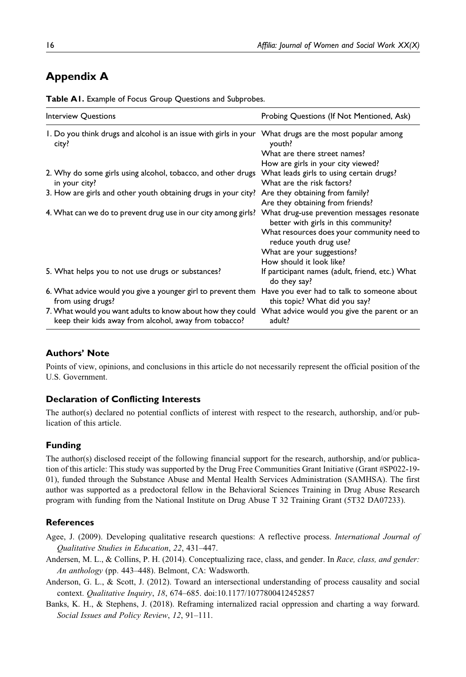# Appendix A

Table A1. Example of Focus Group Questions and Subprobes.

| Interview Questions                                                                                                                             | Probing Questions (If Not Mentioned, Ask)                                                                                                                                                |
|-------------------------------------------------------------------------------------------------------------------------------------------------|------------------------------------------------------------------------------------------------------------------------------------------------------------------------------------------|
| 1. Do you think drugs and alcohol is an issue with girls in your What drugs are the most popular among<br>city?                                 | youth?<br>What are there street names?<br>How are girls in your city viewed?                                                                                                             |
| 2. Why do some girls using alcohol, tobacco, and other drugs<br>in your city?                                                                   | What leads girls to using certain drugs?<br>What are the risk factors?                                                                                                                   |
| 3. How are girls and other youth obtaining drugs in your city?                                                                                  | Are they obtaining from family?<br>Are they obtaining from friends?                                                                                                                      |
| 4. What can we do to prevent drug use in our city among girls?                                                                                  | What drug-use prevention messages resonate<br>better with girls in this community?<br>What resources does your community need to<br>reduce youth drug use?<br>What are your suggestions? |
| 5. What helps you to not use drugs or substances?                                                                                               | How should it look like?<br>If participant names (adult, friend, etc.) What<br>do they say?                                                                                              |
| 6. What advice would you give a younger girl to prevent them<br>from using drugs?<br>7. What would you want adults to know about how they could | Have you ever had to talk to someone about<br>this topic? What did you say?<br>What advice would you give the parent or an                                                               |
| keep their kids away from alcohol, away from tobacco?                                                                                           | adult?                                                                                                                                                                                   |

#### Authors' Note

Points of view, opinions, and conclusions in this article do not necessarily represent the official position of the U.S. Government.

#### Declaration of Conflicting Interests

The author(s) declared no potential conflicts of interest with respect to the research, authorship, and/or publication of this article.

## Funding

The author(s) disclosed receipt of the following financial support for the research, authorship, and/or publication of this article: This study was supported by the Drug Free Communities Grant Initiative (Grant #SP022-19- 01), funded through the Substance Abuse and Mental Health Services Administration (SAMHSA). The first author was supported as a predoctoral fellow in the Behavioral Sciences Training in Drug Abuse Research program with funding from the National Institute on Drug Abuse T 32 Training Grant (5T32 DA07233).

#### **References**

- Agee, J. (2009). Developing qualitative research questions: A reflective process. International Journal of Qualitative Studies in Education, 22, 431–447.
- Andersen, M. L., & Collins, P. H. (2014). Conceptualizing race, class, and gender. In Race, class, and gender: An anthology (pp. 443–448). Belmont, CA: Wadsworth.
- Anderson, G. L., & Scott, J. (2012). Toward an intersectional understanding of process causality and social context. Qualitative Inquiry, 18, 674–685. doi:10.1177/1077800412452857
- Banks, K. H., & Stephens, J. (2018). Reframing internalized racial oppression and charting a way forward. Social Issues and Policy Review, 12, 91–111.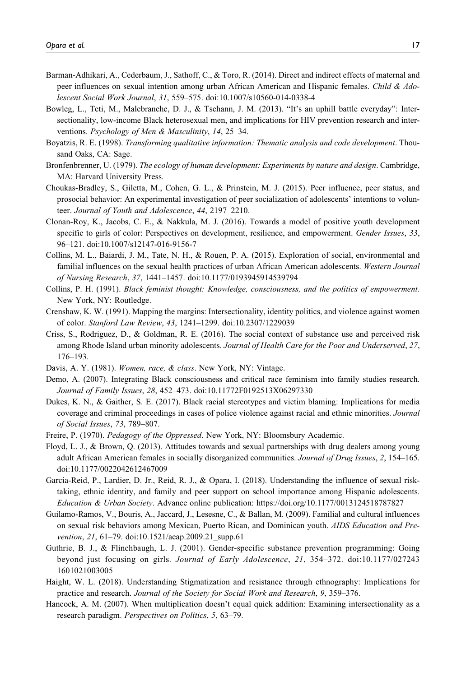- Barman-Adhikari, A., Cederbaum, J., Sathoff, C., & Toro, R. (2014). Direct and indirect effects of maternal and peer influences on sexual intention among urban African American and Hispanic females. Child & Adolescent Social Work Journal, 31, 559–575. doi:10.1007/s10560-014-0338-4
- Bowleg, L., Teti, M., Malebranche, D. J., & Tschann, J. M. (2013). "It's an uphill battle everyday": Intersectionality, low-income Black heterosexual men, and implications for HIV prevention research and interventions. Psychology of Men & Masculinity, 14, 25–34.
- Boyatzis, R. E. (1998). Transforming qualitative information: Thematic analysis and code development. Thousand Oaks, CA: Sage.
- Bronfenbrenner, U. (1979). The ecology of human development: Experiments by nature and design. Cambridge, MA: Harvard University Press.
- Choukas-Bradley, S., Giletta, M., Cohen, G. L., & Prinstein, M. J. (2015). Peer influence, peer status, and prosocial behavior: An experimental investigation of peer socialization of adolescents' intentions to volunteer. Journal of Youth and Adolescence, 44, 2197–2210.
- Clonan-Roy, K., Jacobs, C. E., & Nakkula, M. J. (2016). Towards a model of positive youth development specific to girls of color: Perspectives on development, resilience, and empowerment. Gender Issues, 33, 96–121. doi:10.1007/s12147-016-9156-7
- Collins, M. L., Baiardi, J. M., Tate, N. H., & Rouen, P. A. (2015). Exploration of social, environmental and familial influences on the sexual health practices of urban African American adolescents. Western Journal of Nursing Research, 37, 1441–1457. doi:10.1177/0193945914539794
- Collins, P. H. (1991). Black feminist thought: Knowledge, consciousness, and the politics of empowerment. New York, NY: Routledge.
- Crenshaw, K. W. (1991). Mapping the margins: Intersectionality, identity politics, and violence against women of color. Stanford Law Review, 43, 1241–1299. doi:10.2307/1229039
- Criss, S., Rodriguez, D., & Goldman, R. E. (2016). The social context of substance use and perceived risk among Rhode Island urban minority adolescents. Journal of Health Care for the Poor and Underserved, 27, 176–193.
- Davis, A. Y. (1981). Women, race, & class. New York, NY: Vintage.
- Demo, A. (2007). Integrating Black consciousness and critical race feminism into family studies research. Journal of Family Issues, 28, 452–473. doi:10.11772F0192513X06297330
- Dukes, K. N., & Gaither, S. E. (2017). Black racial stereotypes and victim blaming: Implications for media coverage and criminal proceedings in cases of police violence against racial and ethnic minorities. Journal of Social Issues, 73, 789–807.
- Freire, P. (1970). Pedagogy of the Oppressed. New York, NY: Bloomsbury Academic.
- Floyd, L. J., & Brown, Q. (2013). Attitudes towards and sexual partnerships with drug dealers among young adult African American females in socially disorganized communities. Journal of Drug Issues, 2, 154–165. doi:10.1177/0022042612467009
- Garcia-Reid, P., Lardier, D. Jr., Reid, R. J., & Opara, I. (2018). Understanding the influence of sexual risktaking, ethnic identity, and family and peer support on school importance among Hispanic adolescents. Education & Urban Society. Advance online publication:<https://doi.org/10.1177/0013124518787827>
- Guilamo-Ramos, V., Bouris, A., Jaccard, J., Lesesne, C., & Ballan, M. (2009). Familial and cultural influences on sexual risk behaviors among Mexican, Puerto Rican, and Dominican youth. AIDS Education and Prevention, 21, 61–79. doi:10.1521/aeap.2009.21\_supp.61
- Guthrie, B. J., & Flinchbaugh, L. J. (2001). Gender-specific substance prevention programming: Going beyond just focusing on girls. Journal of Early Adolescence, 21, 354–372. doi:10.1177/027243 1601021003005
- Haight, W. L. (2018). Understanding Stigmatization and resistance through ethnography: Implications for practice and research. Journal of the Society for Social Work and Research, 9, 359–376.
- Hancock, A. M. (2007). When multiplication doesn't equal quick addition: Examining intersectionality as a research paradigm. Perspectives on Politics, 5, 63–79.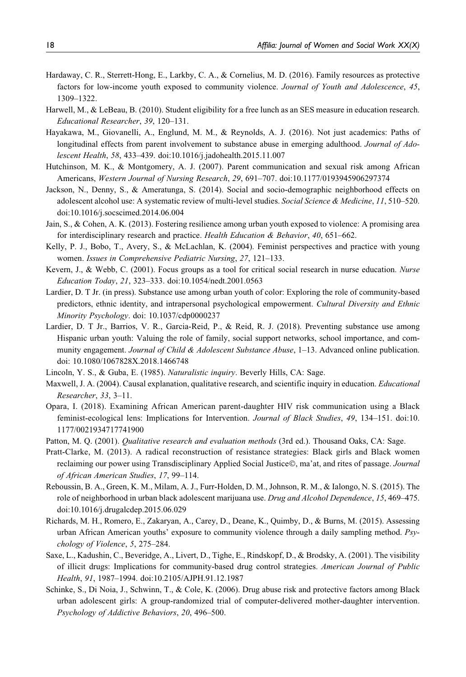- Hardaway, C. R., Sterrett-Hong, E., Larkby, C. A., & Cornelius, M. D. (2016). Family resources as protective factors for low-income youth exposed to community violence. Journal of Youth and Adolescence, 45, 1309–1322.
- Harwell, M., & LeBeau, B. (2010). Student eligibility for a free lunch as an SES measure in education research. Educational Researcher, 39, 120–131.
- Hayakawa, M., Giovanelli, A., Englund, M. M., & Reynolds, A. J. (2016). Not just academics: Paths of longitudinal effects from parent involvement to substance abuse in emerging adulthood. Journal of Adolescent Health, 58, 433–439. doi:10.1016/j.jadohealth.2015.11.007
- Hutchinson, M. K., & Montgomery, A. J. (2007). Parent communication and sexual risk among African Americans, Western Journal of Nursing Research, 29, 691–707. doi:10.1177/0193945906297374
- Jackson, N., Denny, S., & Ameratunga, S. (2014). Social and socio-demographic neighborhood effects on adolescent alcohol use: A systematic review of multi-level studies. Social Science & Medicine, 11, 510–520. doi:10.1016/j.socscimed.2014.06.004
- Jain, S., & Cohen, A. K. (2013). Fostering resilience among urban youth exposed to violence: A promising area for interdisciplinary research and practice. Health Education & Behavior, 40, 651-662.
- Kelly, P. J., Bobo, T., Avery, S., & McLachlan, K. (2004). Feminist perspectives and practice with young women. Issues in Comprehensive Pediatric Nursing, 27, 121–133.
- Kevern, J., & Webb, C. (2001). Focus groups as a tool for critical social research in nurse education. Nurse Education Today, 21, 323–333. doi:10.1054/nedt.2001.0563
- Lardier, D. T Jr. (in press). Substance use among urban youth of color: Exploring the role of community-based predictors, ethnic identity, and intrapersonal psychological empowerment. Cultural Diversity and Ethnic Minority Psychology. doi: 10.1037/cdp0000237
- Lardier, D. T Jr., Barrios, V. R., Garcia-Reid, P., & Reid, R. J. (2018). Preventing substance use among Hispanic urban youth: Valuing the role of family, social support networks, school importance, and community engagement. Journal of Child & Adolescent Substance Abuse, 1–13. Advanced online publication. doi: 10.1080/1067828X.2018.1466748
- Lincoln, Y. S., & Guba, E. (1985). Naturalistic inquiry. Beverly Hills, CA: Sage.
- Maxwell, J. A. (2004). Causal explanation, qualitative research, and scientific inquiry in education. *Educational* Researcher, 33, 3–11.
- Opara, I. (2018). Examining African American parent-daughter HIV risk communication using a Black feminist-ecological lens: Implications for Intervention. Journal of Black Studies, 49, 134–151. doi:10. 1177/0021934717741900
- Patton, M. Q. (2001). Qualitative research and evaluation methods (3rd ed.). Thousand Oaks, CA: Sage.
- Pratt-Clarke, M. (2013). A radical reconstruction of resistance strategies: Black girls and Black women reclaiming our power using Transdisciplinary Applied Social Justice©, ma'at, and rites of passage. Journal of African American Studies, 17, 99–114.
- Reboussin, B. A., Green, K. M., Milam, A. J., Furr-Holden, D. M., Johnson, R. M., & Ialongo, N. S. (2015). The role of neighborhood in urban black adolescent marijuana use. Drug and Alcohol Dependence, 15, 469-475. doi:10.1016/j.drugalcdep.2015.06.029
- Richards, M. H., Romero, E., Zakaryan, A., Carey, D., Deane, K., Quimby, D., & Burns, M. (2015). Assessing urban African American youths' exposure to community violence through a daily sampling method. Psychology of Violence, 5, 275–284.
- Saxe, L., Kadushin, C., Beveridge, A., Livert, D., Tighe, E., Rindskopf, D., & Brodsky, A. (2001). The visibility of illicit drugs: Implications for community-based drug control strategies. American Journal of Public Health, 91, 1987–1994. doi:10.2105/AJPH.91.12.1987
- Schinke, S., Di Noia, J., Schwinn, T., & Cole, K. (2006). Drug abuse risk and protective factors among Black urban adolescent girls: A group-randomized trial of computer-delivered mother-daughter intervention. Psychology of Addictive Behaviors, 20, 496–500.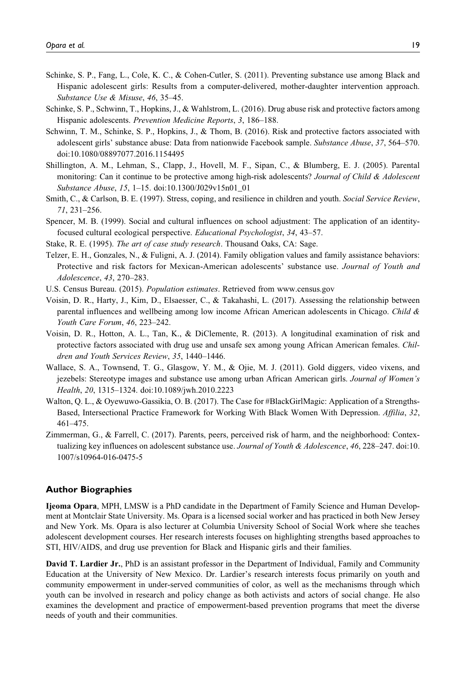- Schinke, S. P., Fang, L., Cole, K. C., & Cohen-Cutler, S. (2011). Preventing substance use among Black and Hispanic adolescent girls: Results from a computer-delivered, mother-daughter intervention approach. Substance Use & Misuse, 46, 35–45.
- Schinke, S. P., Schwinn, T., Hopkins, J., & Wahlstrom, L. (2016). Drug abuse risk and protective factors among Hispanic adolescents. Prevention Medicine Reports, 3, 186–188.
- Schwinn, T. M., Schinke, S. P., Hopkins, J., & Thom, B. (2016). Risk and protective factors associated with adolescent girls' substance abuse: Data from nationwide Facebook sample. Substance Abuse, 37, 564–570. doi:10.1080/08897077.2016.1154495
- Shillington, A. M., Lehman, S., Clapp, J., Hovell, M. F., Sipan, C., & Blumberg, E. J. (2005). Parental monitoring: Can it continue to be protective among high-risk adolescents? Journal of Child & Adolescent Substance Abuse, 15, 1–15. [doi:10.1300/J029v15n01\\_01](http://doi:10.1300/J029v15n01_01)
- Smith, C., & Carlson, B. E. (1997). Stress, coping, and resilience in children and youth. Social Service Review, 71, 231–256.
- Spencer, M. B. (1999). Social and cultural influences on school adjustment: The application of an identityfocused cultural ecological perspective. Educational Psychologist, 34, 43–57.
- Stake, R. E. (1995). The art of case study research. Thousand Oaks, CA: Sage.
- Telzer, E. H., Gonzales, N., & Fuligni, A. J. (2014). Family obligation values and family assistance behaviors: Protective and risk factors for Mexican-American adolescents' substance use. Journal of Youth and Adolescence, 43, 270–283.
- U.S. Census Bureau. (2015). Population estimates. Retrieved from [www.census.gov](http://www.census.gov)
- Voisin, D. R., Harty, J., Kim, D., Elsaesser, C., & Takahashi, L. (2017). Assessing the relationship between parental influences and wellbeing among low income African American adolescents in Chicago. Child  $\&$ Youth Care Forum, 46, 223–242.
- Voisin, D. R., Hotton, A. L., Tan, K., & DiClemente, R. (2013). A longitudinal examination of risk and protective factors associated with drug use and unsafe sex among young African American females. Children and Youth Services Review, 35, 1440–1446.
- Wallace, S. A., Townsend, T. G., Glasgow, Y. M., & Ojie, M. J. (2011). Gold diggers, video vixens, and jezebels: Stereotype images and substance use among urban African American girls. Journal of Women's Health, 20, 1315–1324. doi:10.1089/jwh.2010.2223
- Walton, Q. L., & Oyewuwo-Gassikia, O. B. (2017). The Case for #BlackGirlMagic: Application of a Strengths-Based, Intersectional Practice Framework for Working With Black Women With Depression. Affilia, 32, 461–475.
- Zimmerman, G., & Farrell, C. (2017). Parents, peers, perceived risk of harm, and the neighborhood: Contextualizing key influences on adolescent substance use. Journal of Youth & Adolescence, 46, 228–247. doi:10. 1007/s10964-016-0475-5

#### Author Biographies

Ijeoma Opara, MPH, LMSW is a PhD candidate in the Department of Family Science and Human Development at Montclair State University. Ms. Opara is a licensed social worker and has practiced in both New Jersey and New York. Ms. Opara is also lecturer at Columbia University School of Social Work where she teaches adolescent development courses. Her research interests focuses on highlighting strengths based approaches to STI, HIV/AIDS, and drug use prevention for Black and Hispanic girls and their families.

David T. Lardier Jr., PhD is an assistant professor in the Department of Individual, Family and Community Education at the University of New Mexico. Dr. Lardier's research interests focus primarily on youth and community empowerment in under-served communities of color, as well as the mechanisms through which youth can be involved in research and policy change as both activists and actors of social change. He also examines the development and practice of empowerment-based prevention programs that meet the diverse needs of youth and their communities.